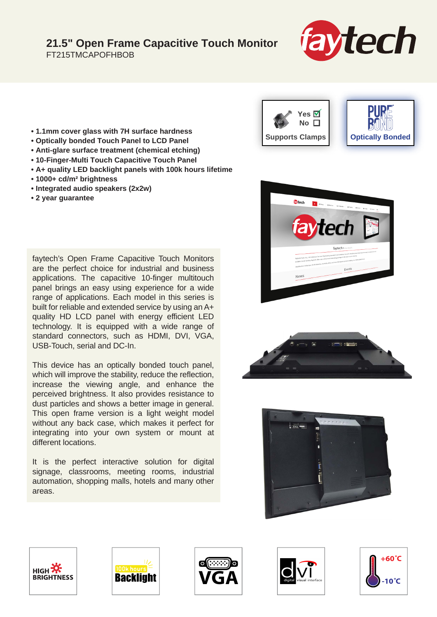## **21.5" Open Frame Capacitive Touch Monitor**

FT215TMCAPOFHBOB



- **1.1mm cover glass with 7H surface hardness**
- **Optically bonded Touch Panel to LCD Panel**
- **Anti-glare surface treatment (chemical etching)**
- **10-Finger-Multi Touch Capacitive Touch Panel**
- **A+ quality LED backlight panels with 100k hours lifetime**
- **1000+ cd/m² brightness**
- **Integrated audio speakers (2x2w)**
- **2 year guarantee**

faytech's Open Frame Capacitive Touch Monitors are the perfect choice for industrial and business applications. The capacitive 10-finger multitouch panel brings an easy using experience for a wide range of applications. Each model in this series is built for reliable and extended service by using an A+ quality HD LCD panel with energy efficient LED technology. It is equipped with a wide range of standard connectors, such as HDMI, DVI, VGA, USB-Touch, serial and DC-In.

This device has an optically bonded touch panel, which will improve the stability, reduce the reflection, increase the viewing angle, and enhance the perceived brightness. It also provides resistance to dust particles and shows a better image in general. This open frame version is a light weight model without any back case, which makes it perfect for integrating into your own system or mount at different locations.

It is the perfect interactive solution for digital signage, classrooms, meeting rooms, industrial automation, shopping malls, hotels and many other areas.